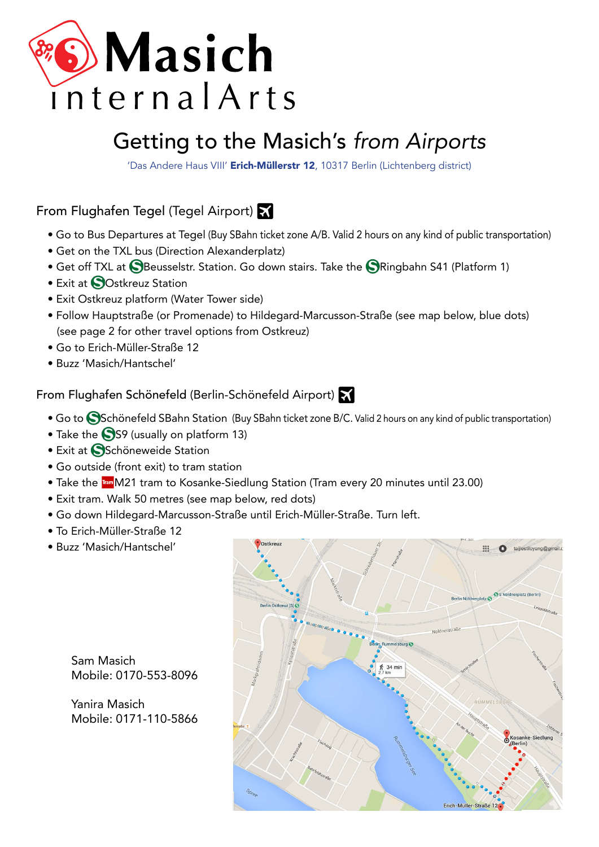

# [Getting to the Masich's](https://www.google.de/maps/place/Erich-M%25C3%25BCller-Stra%25C3%259Fe%2B12%2C%2B10317%2BBerlin/%4052.4936698%2C13.4854111%2C17z/data%3D%213m1%214b1%214m2%213m1%211s0x47a84ee08525cb1f:0xa407e8befdeac4d3) *from Airports*

'Das Andere Haus VIII' Erich-Müllerstr 12, 10317 Berlin (Lichtenberg district)

# From Flughafen Tegel (Tegel Airport)

- Go to Bus Departures at Tegel (Buy SBahn ticket zone A/B. Valid 2 hours on any kind of public transportation)
- Get on the TXL bus (Direction Alexanderplatz)
- Get off TXL at **S**Beusselstr. Station. Go down stairs. Take the **S**Ringbahn S41 (Platform 1)
- Exit at **O**Ostkreuz Station
- Exit Ostkreuz platform (Water Tower side)
- Follow Hauptstraße (or Promenade) to Hildegard-Marcusson-Straße [\(see map below, blue dots\)](https://www.google.de/maps/dir/Berlin%2BOstkreuz%2B%28S%29/Erich-M%25C3%25BCller-Stra%25C3%259Fe%2B12%2C%2B10317%2BBerlin/%4052.4984228%2C13.4726063%2C16z/data%3D%213m1%214b1%214m14%214m13%211m5%211m1%211s0x47a84efa0a889e61:0x5d110b04c22830db%212m2%211d13.4693251%212d52.5031759%211m5%211m1%211s0x47a84ee08525cb1f:0xa407e8befdeac4d3%212m2%211d13.4854111%212d52.4936698%213e2)  [\(see page 2 for other travel options from Ostkreuz\)](https://www.google.de/maps/dir/Berlin%2BOstkreuz%2B%28S%29/Erich-M%25C3%25BCller-Stra%25C3%259Fe%2B12%2C%2B10317%2BBerlin/%4052.4984228%2C13.4726063%2C16z/data%3D%213m1%214b1%214m14%214m13%211m5%211m1%211s0x47a84efa0a889e61:0x5d110b04c22830db%212m2%211d13.4693251%212d52.5031759%211m5%211m1%211s0x47a84ee08525cb1f:0xa407e8befdeac4d3%212m2%211d13.4854111%212d52.4936698%213e2)
- Go to Erich-Müller-Straße 12
- Buzz ʻMasich/Hantschel'

## From Flughafen Schönefeld (Berlin-Schönefeld Airport)

- Go to SSchönefeld SBahn Station (Buy SBahn ticket zone B/C. Valid 2 hours on any kind of public transportation)
- Take the  $\bigcirc$ S9 (usually on platform 13)
- Exit at **S**Schöneweide Station
- Go outside (front exit) to tram station
- Take the Tram M21 tram to Kosanke-Siedlung Station (Tram every 20 minutes until 23.00)
- Exit tram. Walk 50 metres [\(see map below, red dots\)](https://www.google.de/maps/dir/Kosanke-Siedlung%2B%28Berlin%29%2C%2BRummelsburg/Erich-M%25C3%25BCller-Stra%25C3%259Fe%2B12%2C%2B10317%2BBerlin/%4052.4951904%2C13.4837359%2C17z/data%3D%213m1%214b1%214m14%214m13%211m5%211m1%211s0x47a84ee7475443cf:0x6de502c9da298026%212m2%211d13.485793%212d52.496711%211m5%211m1%211s0x47a84ee08525cb1f:0xa407e8befdeac4d3%212m2%211d13.4854111%212d52.4936698%213e2)
- Go down Hildegard-Marcusson-Straße until Erich-Müller-Straße. Turn left.
- To Erich-Müller-Straße 12
- Buzz ʻMasich/Hantschel'



Sam Masich Mobile: 0170-553-8096

Yanira Masich Mobile: 0171-110-5866